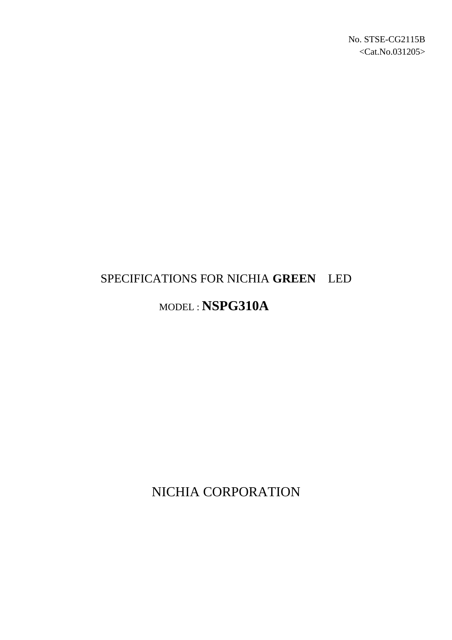# SPECIFICATIONS FOR NICHIA **GREEN** LED

# MODEL : **NSPG310A**

NICHIA CORPORATION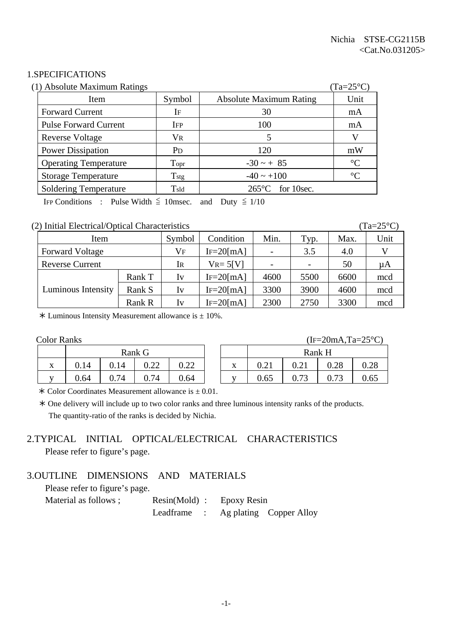#### 1.SPECIFICATIONS

| (1) Absolute Maximum Ratings |                  |                                | $(Ta=25^{\circ}C)$ |
|------------------------------|------------------|--------------------------------|--------------------|
| Item                         | Symbol           | <b>Absolute Maximum Rating</b> | Unit               |
| <b>Forward Current</b>       | IF               | 30                             | mA                 |
| <b>Pulse Forward Current</b> | <b>IFP</b>       | 100                            | mA                 |
| Reverse Voltage              | <b>VR</b>        |                                |                    |
| <b>Power Dissipation</b>     | P <sub>D</sub>   | 120                            | mW                 |
| <b>Operating Temperature</b> | Topr             | $-30 - + 85$                   | $\rm ^{\circ}C$    |
| <b>Storage Temperature</b>   | T <sub>stg</sub> | $-40 \sim +100$                | $\rm ^{\circ}C$    |
| <b>Soldering Temperature</b> | Tsld             | $265^{\circ}$ C for 10sec.     |                    |

IFP Conditions : Pulse Width  $\leq$  10msec. and Duty  $\leq$  1/10

#### (2) Initial Electrical/Optical Characteristics (Ta=25°C)

| Item                   |        | Symbol    | Condition      | Min. | Typ.            | Max. | Unit    |
|------------------------|--------|-----------|----------------|------|-----------------|------|---------|
| <b>Forward Voltage</b> |        | $\rm V_F$ | $IF=20$ [mA]   |      | 3.5             | 4.0  |         |
| <b>Reverse Current</b> |        | IR        | $V_{R} = 5[V]$ |      | $\qquad \qquad$ | 50   | $\mu A$ |
|                        | Rank T | Iv        | $IF=20$ [mA]   | 4600 | 5500            | 6600 | mcd     |
| Luminous Intensity     | Rank S | Iv        | $IF = 20$ [mA] | 3300 | 3900            | 4600 | mcd     |
|                        | Rank R | Iv        | $IF = 20$ [mA] | 2300 | 2750            | 3300 | mcd     |

 $*$  Luminous Intensity Measurement allowance is  $\pm$  10%.

| <b>Color Ranks</b> |  |  |  |  |
|--------------------|--|--|--|--|
|--------------------|--|--|--|--|

 $(IF=20mA, Ta=25°C)$ 

|                           | Rank G |      |      |      |                   |                                                                 | Rank H     |      |      |
|---------------------------|--------|------|------|------|-------------------|-----------------------------------------------------------------|------------|------|------|
| $\mathbf{v}$<br>$\Lambda$ | 0.14   | 0.14 | 0.22 | 0.22 | $\mathbf{v}$<br>A | $\bigcap$ 0.1<br>$\mathsf{U} \cdot \mathsf{L} \cdot \mathsf{L}$ | $\rm 0.21$ | 0.28 | 0.28 |
| <b>Y</b> T                | 0.64   | 0.74 | 0.74 | 0.64 |                   | 0.65                                                            | 0.73       | 0.73 | 0.65 |

 $*$  Color Coordinates Measurement allowance is  $\pm$  0.01.

 ! One delivery will include up to two color ranks and three luminous intensity ranks of the products. The quantity-ratio of the ranks is decided by Nichia.

# 2.TYPICAL INITIAL OPTICAL/ELECTRICAL CHARACTERISTICS Please refer to figure's page.

#### 3.OUTLINE DIMENSIONS AND MATERIALS

Please refer to figure's page.

| Material as follows ; | $Resin(Mold)$ : Epoxy Resin         |  |  |  |
|-----------------------|-------------------------------------|--|--|--|
|                       | Leadframe : Ag plating Copper Alloy |  |  |  |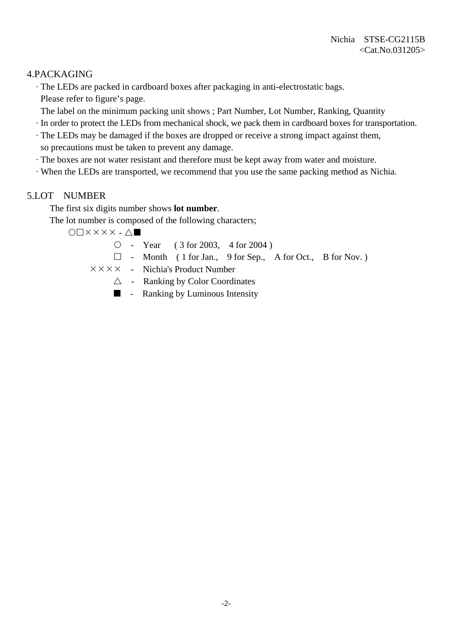# 4.PACKAGING

· The LEDs are packed in cardboard boxes after packaging in anti-electrostatic bags. Please refer to figure's page.

The label on the minimum packing unit shows ; Part Number, Lot Number, Ranking, Quantity

· In order to protect the LEDs from mechanical shock, we pack them in cardboard boxes for transportation.

- · The LEDs may be damaged if the boxes are dropped or receive a strong impact against them, so precautions must be taken to prevent any damage.
- · The boxes are not water resistant and therefore must be kept away from water and moisture.
- · When the LEDs are transported, we recommend that you use the same packing method as Nichia.

# 5.LOT NUMBER

The first six digits number shows **lot number**.

The lot number is composed of the following characters;

 $\bigcirc \Box \times \times \times \times$  -  $\triangle \blacksquare$ 

 $\circ$  - Year ( 3 for 2003, 4 for 2004)

- $\Box$  Month ( 1 for Jan., 9 for Sep., A for Oct., B for Nov.)
- $\times \times \times \times$  Nichia's Product Number
	- $\triangle$  Ranking by Color Coordinates
	- $\blacksquare$  Ranking by Luminous Intensity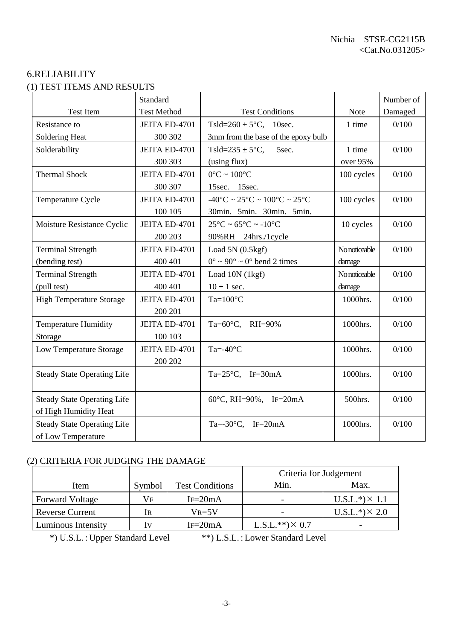# 6.RELIABILITY (1) TEST ITEMS AND RESULTS

|                                    | Standard           |                                                                        |               | Number of |
|------------------------------------|--------------------|------------------------------------------------------------------------|---------------|-----------|
| <b>Test Item</b>                   | <b>Test Method</b> | <b>Test Conditions</b>                                                 | <b>Note</b>   | Damaged   |
| Resistance to                      | JEITA ED-4701      | Tsld=260 $\pm$ 5°C, 10sec.                                             | 1 time        | 0/100     |
| Soldering Heat                     | 300 302            | 3mm from the base of the epoxy bulb                                    |               |           |
| Solderability                      | JEITA ED-4701      | Tsld=235 $\pm$ 5°C,<br>5sec.                                           | 1 time        | 0/100     |
|                                    | 300 303            | (using flux)                                                           | over 95%      |           |
| <b>Thermal Shock</b>               | JEITA ED-4701      | $0^{\circ}$ C ~ $100^{\circ}$ C                                        | 100 cycles    | 0/100     |
|                                    | 300 307            | 15sec. 15sec.                                                          |               |           |
| Temperature Cycle                  | JEITA ED-4701      | $-40^{\circ}$ C ~ 25 $^{\circ}$ C ~ 100 $^{\circ}$ C ~ 25 $^{\circ}$ C | 100 cycles    | 0/100     |
|                                    | 100 105            | 30min. 5min. 30min. 5min.                                              |               |           |
| Moisture Resistance Cyclic         | JEITA ED-4701      | $25^{\circ}$ C ~ 65 $^{\circ}$ C ~ -10 $^{\circ}$ C                    | 10 cycles     | 0/100     |
|                                    | 200 203            | 90%RH 24hrs./1cycle                                                    |               |           |
| <b>Terminal Strength</b>           | JEITA ED-4701      | Load $5N(0.5kgf)$                                                      | No noticeable | 0/100     |
| (bending test)                     | 400 401            | $0^{\circ} \sim 90^{\circ} \sim 0^{\circ}$ bend 2 times                | damage        |           |
| <b>Terminal Strength</b>           | JEITA ED-4701      | Load 10N (1kgf)                                                        | No noticeable | 0/100     |
| (pull test)                        | 400 401            | $10 \pm 1$ sec.                                                        | damage        |           |
| <b>High Temperature Storage</b>    | JEITA ED-4701      | $Ta=100^{\circ}C$                                                      | 1000hrs.      | 0/100     |
|                                    | 200 201            |                                                                        |               |           |
| <b>Temperature Humidity</b>        | JEITA ED-4701      | Ta=60°C, RH=90%                                                        | 1000hrs.      | 0/100     |
| Storage                            | 100 103            |                                                                        |               |           |
| Low Temperature Storage            | JEITA ED-4701      | Ta=- $40^{\circ}$ C                                                    | 1000hrs.      | 0/100     |
|                                    | 200 202            |                                                                        |               |           |
| <b>Steady State Operating Life</b> |                    | Ta= $25^{\circ}$ C, IF= $30$ mA                                        | 1000hrs.      | 0/100     |
|                                    |                    |                                                                        |               |           |
| <b>Steady State Operating Life</b> |                    | 60°C, RH=90%, IF=20mA                                                  | 500hrs.       | 0/100     |
| of High Humidity Heat              |                    |                                                                        |               |           |
| <b>Steady State Operating Life</b> |                    | Ta=-30 $\textdegree$ C, IF=20mA                                        | 1000hrs.      | 0/100     |
| of Low Temperature                 |                    |                                                                        |               |           |

# (2) CRITERIA FOR JUDGING THE DAMAGE

|                        |             |                        | Criteria for Judgement |                       |
|------------------------|-------------|------------------------|------------------------|-----------------------|
| Item                   | Symbol      | <b>Test Conditions</b> | Min.                   | Max.                  |
| <b>Forward Voltage</b> | Vf          | $IF = 20mA$            |                        | $U.S.L.*) \times 1.1$ |
| <b>Reverse Current</b> | IR          | $V_{\rm R=5}V$         |                        | $U.S.L.*) \times 2.0$ |
| Luminous Intensity     | $_{\rm IV}$ | $IF = 20mA$            | $L.S.L.**) \times 0.7$ |                       |

\*) U.S.L. : Upper Standard Level \*\*) L.S.L. : Lower Standard Level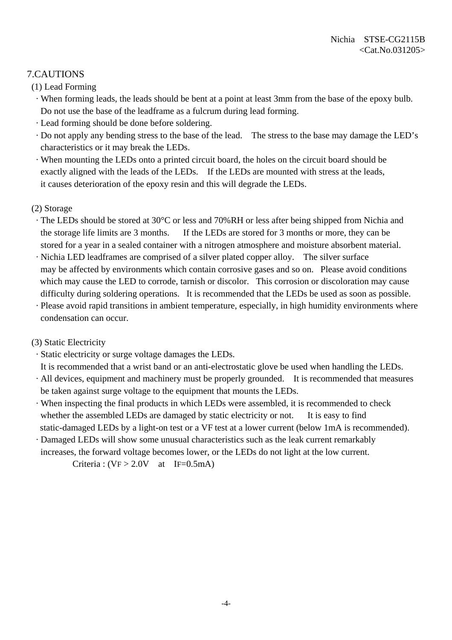# 7.CAUTIONS

(1) Lead Forming

- · When forming leads, the leads should be bent at a point at least 3mm from the base of the epoxy bulb. Do not use the base of the leadframe as a fulcrum during lead forming.
- · Lead forming should be done before soldering.
- · Do not apply any bending stress to the base of the lead. The stress to the base may damage the LED's characteristics or it may break the LEDs.
- · When mounting the LEDs onto a printed circuit board, the holes on the circuit board should be exactly aligned with the leads of the LEDs. If the LEDs are mounted with stress at the leads, it causes deterioration of the epoxy resin and this will degrade the LEDs.

#### (2) Storage

- · The LEDs should be stored at 30°C or less and 70%RH or less after being shipped from Nichia and the storage life limits are 3 months. If the LEDs are stored for 3 months or more, they can be stored for a year in a sealed container with a nitrogen atmosphere and moisture absorbent material.
- · Nichia LED leadframes are comprised of a silver plated copper alloy. The silver surface may be affected by environments which contain corrosive gases and so on. Please avoid conditions which may cause the LED to corrode, tarnish or discolor. This corrosion or discoloration may cause difficulty during soldering operations. It is recommended that the LEDs be used as soon as possible.
- · Please avoid rapid transitions in ambient temperature, especially, in high humidity environments where condensation can occur.

# (3) Static Electricity

· Static electricity or surge voltage damages the LEDs.

It is recommended that a wrist band or an anti-electrostatic glove be used when handling the LEDs.

- · All devices, equipment and machinery must be properly grounded. It is recommended that measures be taken against surge voltage to the equipment that mounts the LEDs.
- · When inspecting the final products in which LEDs were assembled, it is recommended to check whether the assembled LEDs are damaged by static electricity or not. It is easy to find static-damaged LEDs by a light-on test or a VF test at a lower current (below 1mA is recommended).
- · Damaged LEDs will show some unusual characteristics such as the leak current remarkably increases, the forward voltage becomes lower, or the LEDs do not light at the low current.

Criteria :  $(VF > 2.0V$  at IF=0.5mA)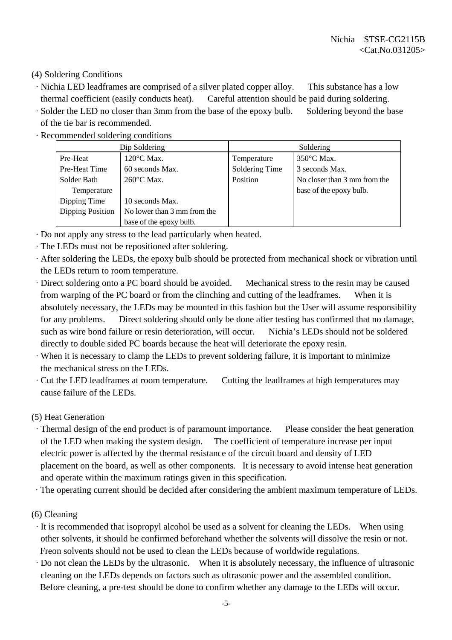#### (4) Soldering Conditions

- · Nichia LED leadframes are comprised of a silver plated copper alloy. This substance has a low thermal coefficient (easily conducts heat). Careful attention should be paid during soldering.
- · Solder the LED no closer than 3mm from the base of the epoxy bulb. Soldering beyond the base of the tie bar is recommended.
- · Recommended soldering conditions

| Dip Soldering           |                             | Soldering      |                              |  |
|-------------------------|-----------------------------|----------------|------------------------------|--|
| Pre-Heat                | $120^{\circ}$ C Max.        | Temperature    | $350^{\circ}$ C Max.         |  |
| Pre-Heat Time           | 60 seconds Max.             | Soldering Time | 3 seconds Max.               |  |
| Solder Bath             | $260^{\circ}$ C Max.        | Position       | No closer than 3 mm from the |  |
| Temperature             |                             |                | base of the epoxy bulb.      |  |
| Dipping Time            | 10 seconds Max.             |                |                              |  |
| <b>Dipping Position</b> | No lower than 3 mm from the |                |                              |  |
|                         | base of the epoxy bulb.     |                |                              |  |

- · Do not apply any stress to the lead particularly when heated.
- · The LEDs must not be repositioned after soldering.
- · After soldering the LEDs, the epoxy bulb should be protected from mechanical shock or vibration until the LEDs return to room temperature.
- · Direct soldering onto a PC board should be avoided. Mechanical stress to the resin may be caused from warping of the PC board or from the clinching and cutting of the leadframes. When it is absolutely necessary, the LEDs may be mounted in this fashion but the User will assume responsibility for any problems. Direct soldering should only be done after testing has confirmed that no damage, such as wire bond failure or resin deterioration, will occur. Nichia's LEDs should not be soldered directly to double sided PC boards because the heat will deteriorate the epoxy resin.
- · When it is necessary to clamp the LEDs to prevent soldering failure, it is important to minimize the mechanical stress on the LEDs.
- · Cut the LED leadframes at room temperature. Cutting the leadframes at high temperatures may cause failure of the LEDs.
- (5) Heat Generation
	- · Thermal design of the end product is of paramount importance. Please consider the heat generation of the LED when making the system design. The coefficient of temperature increase per input electric power is affected by the thermal resistance of the circuit board and density of LED placement on the board, as well as other components. It is necessary to avoid intense heat generation and operate within the maximum ratings given in this specification.
- · The operating current should be decided after considering the ambient maximum temperature of LEDs.
- (6) Cleaning
- · It is recommended that isopropyl alcohol be used as a solvent for cleaning the LEDs. When using other solvents, it should be confirmed beforehand whether the solvents will dissolve the resin or not. Freon solvents should not be used to clean the LEDs because of worldwide regulations.
- · Do not clean the LEDs by the ultrasonic. When it is absolutely necessary, the influence of ultrasonic cleaning on the LEDs depends on factors such as ultrasonic power and the assembled condition. Before cleaning, a pre-test should be done to confirm whether any damage to the LEDs will occur.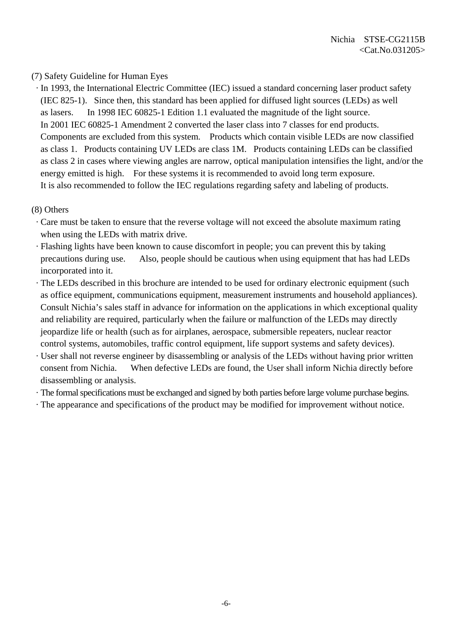#### (7) Safety Guideline for Human Eyes

 · In 1993, the International Electric Committee (IEC) issued a standard concerning laser product safety (IEC 825-1). Since then, this standard has been applied for diffused light sources (LEDs) as well as lasers. In 1998 IEC 60825-1 Edition 1.1 evaluated the magnitude of the light source. In 2001 IEC 60825-1 Amendment 2 converted the laser class into 7 classes for end products. Components are excluded from this system. Products which contain visible LEDs are now classified as class 1. Products containing UV LEDs are class 1M. Products containing LEDs can be classified as class 2 in cases where viewing angles are narrow, optical manipulation intensifies the light, and/or the energy emitted is high. For these systems it is recommended to avoid long term exposure. It is also recommended to follow the IEC regulations regarding safety and labeling of products.

#### (8) Others

- · Care must be taken to ensure that the reverse voltage will not exceed the absolute maximum rating when using the LEDs with matrix drive.
- · Flashing lights have been known to cause discomfort in people; you can prevent this by taking precautions during use. Also, people should be cautious when using equipment that has had LEDs incorporated into it.
- · The LEDs described in this brochure are intended to be used for ordinary electronic equipment (such as office equipment, communications equipment, measurement instruments and household appliances). Consult Nichia's sales staff in advance for information on the applications in which exceptional quality and reliability are required, particularly when the failure or malfunction of the LEDs may directly jeopardize life or health (such as for airplanes, aerospace, submersible repeaters, nuclear reactor control systems, automobiles, traffic control equipment, life support systems and safety devices).
- · User shall not reverse engineer by disassembling or analysis of the LEDs without having prior written consent from Nichia. When defective LEDs are found, the User shall inform Nichia directly before disassembling or analysis.
- · The formal specifications must be exchanged and signed by both parties before large volume purchase begins.
- · The appearance and specifications of the product may be modified for improvement without notice.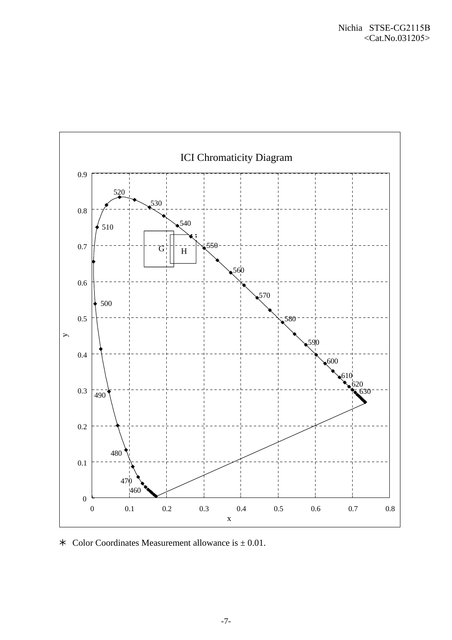

 $\ast$  Color Coordinates Measurement allowance is  $\pm$  0.01.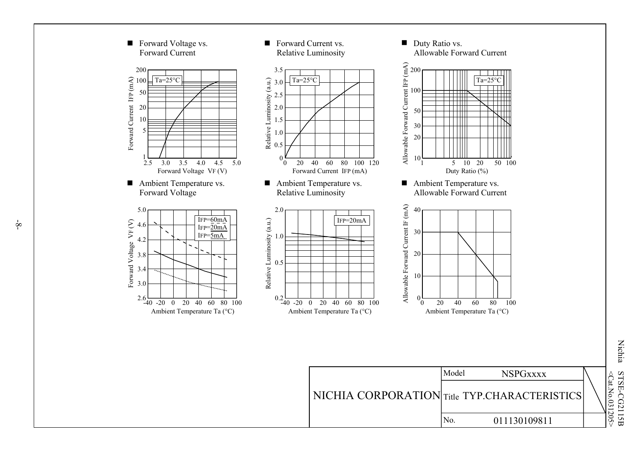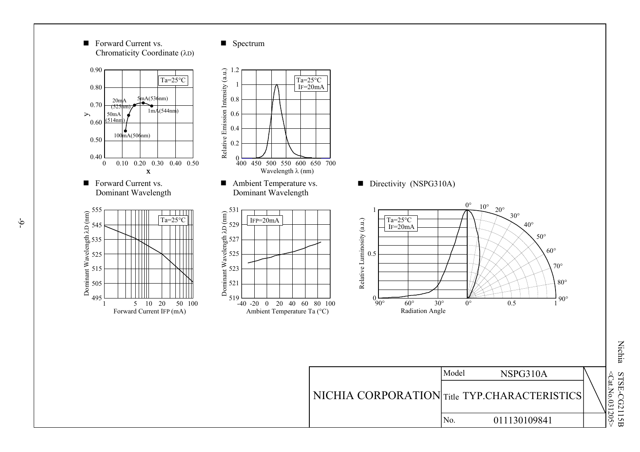

 $\bigodot$ at .No.G2115B<br>031205> N i c h ia STSE-CG2115

No. 011130109841

 $-6$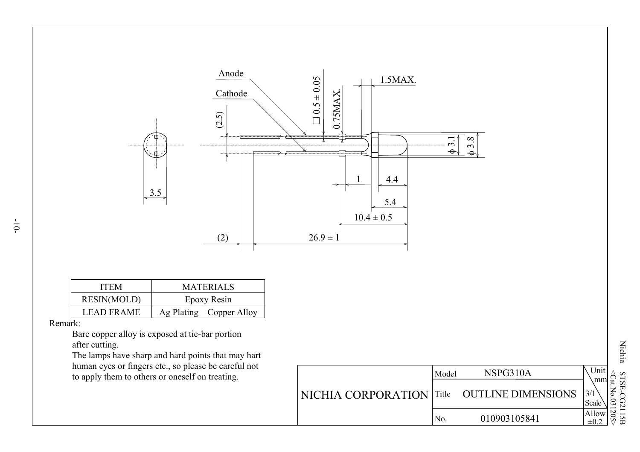

| TFEM               | <b>MATERIALS</b>        |  |  |  |
|--------------------|-------------------------|--|--|--|
| <b>RESIN(MOLD)</b> | Epoxy Resin             |  |  |  |
| <b>LEAD FRAME</b>  | Ag Plating Copper Alloy |  |  |  |

Remark:

 Bare copper alloy is exposed at tie-bar portion after cutting.

 The lamps have sharp and hard points that may hart human eyes or fingers etc., so please be careful not to apply them to others or oneself on treating.

|                          | Model | NSPG310A                  | $\cup$ nit<br>mm |   |
|--------------------------|-------|---------------------------|------------------|---|
| NICHIA CORPORATION Title |       | <b>OUTLINE DIMENSIONS</b> | 3/1<br>Scale     |   |
|                          | No.   | 010903105841              | Allow<br>$\pm 0$ | U |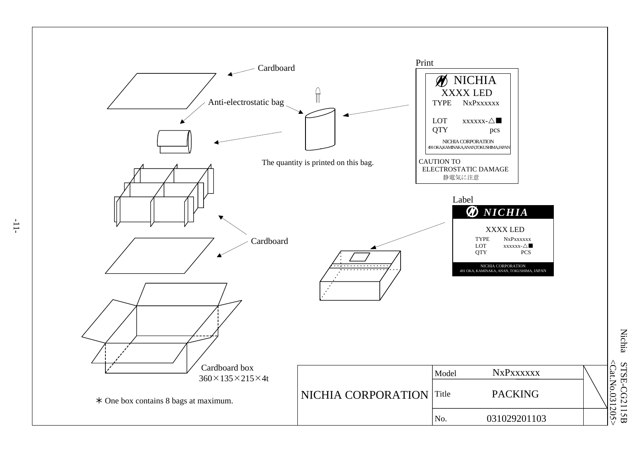

**Nichia** Nichia STSE-C<Cat.No.031205 G2115B >

-11-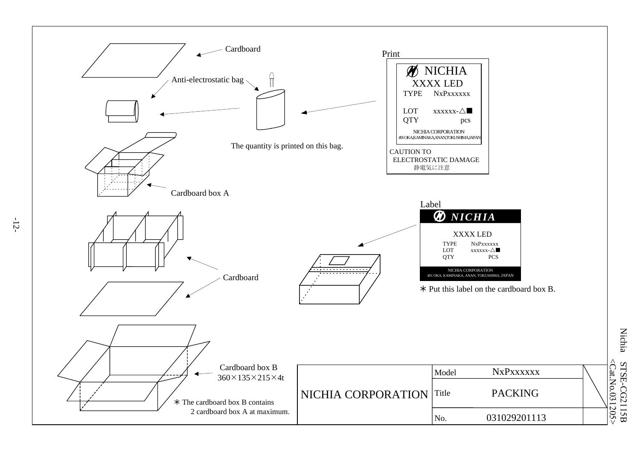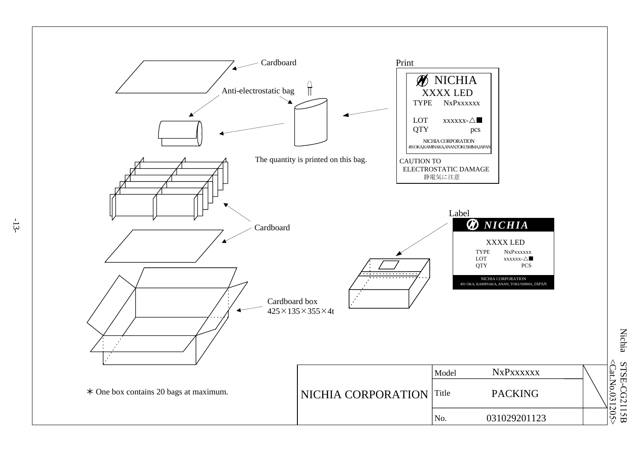

**Nichia** Nichia STSE-C $\leq$ Cat.No.031205>  $<$ Cat.No.031205 STSE-CG2115B

-13-